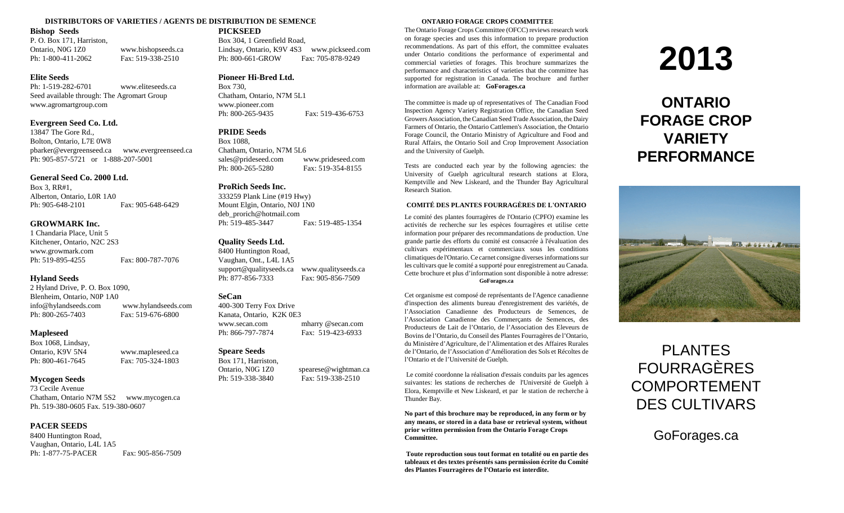#### **DISTRIBUTORS OF VARIETIES / AGENTS DE DISTRIBUTION DE SEMENCE ONTARIO FORAGE CROPS COMMITTEE**

#### **Bishop Seeds**

P. O. Box 171, Harriston, Ontario, N0G 1Z0 www.bishopseeds.ca Ph: 1-800-411-2062 Fax: 519-338-2510

#### **Elite Seeds**

Ph: 1-519-282-6701 www.eliteseeds.ca Seed available through: The Agromart Group www.agromartgroup.com

#### **Evergreen Seed Co. Ltd.**

13847 The Gore Rd., Bolton, Ontario, L7E 0W8 pbarker@evergreenseed.ca www.evergreenseed.ca Ph: 905-857-5721 or 1-888-207-5001

#### **General Seed Co. 2000 Ltd.**

Box 3, RR#1, Alberton, Ontario, L0R 1A0 Ph: 905-648-2101 Fax: 905-648-6429

#### **GROWMARK Inc.**

1 Chandaria Place, Unit 5 Kitchener, Ontario, N2C 2S3 www.growmark.com Ph: 519-895-4255 Fax: 800-787-7076

#### **Hyland Seeds**

2 Hyland Drive, P. O. Box 1090, Blenheim, Ontario, N0P 1A0 info@hylandseeds.com www.hylandseeds.com Ph: 800-265-7403 Fax: 519-676-6800

#### **Mapleseed**

Box 1068, Lindsay, Ontario, K9V 5N4 www.mapleseed.ca Ph: 800-461-7645 Fax: 705-324-1803

#### **Mycogen Seeds**

73 Cecile Avenue Chatham, Ontario N7M 5S2 www.mycogen.ca Ph. 519-380-0605 Fax. 519-380-0607

#### **PACER SEEDS**

8400 Huntington Road, Vaughan, Ontario, L4L 1A5 Ph: 1-877-75-PACER Fax: 905-856-7509

**PICKSEED** Box 304, 1 Greenfield Road, Lindsay, Ontario, K9V 4S3 www.pickseed.com Ph: 800-661-GROW Fax: 705-878-9249

## **Pioneer Hi-Bred Ltd.**

Box 730, Chatham, Ontario, N7M 5L1 www.pioneer.com Ph: 800-265-9435 Fax: 519-436-6753

#### **PRIDE Seeds**

Box 1088, Chatham, Ontario, N7M 5L6 sales@prideseed.com www.prideseed.com Ph: 800-265-5280 Fax: 519-354-8155

#### **ProRich Seeds Inc.**

333259 Plank Line (#19 Hwy) Mount Elgin, Ontario, N0J 1N0 deb\_prorich@hotmail.com Ph: 519-485-3447 Fax: 519-485-1354

#### **Quality Seeds Ltd.**

8400 Huntington Road, Vaughan, Ont., L4L 1A5 support@qualityseeds.ca www.qualityseeds.ca Ph: 877-856-7333 Fax: 905-856-7509

#### **SeCan**

400-300 Terry Fox Drive Kanata, Ontario, K2K 0E3 www.secan.com mharry @secan.com Ph: 866-797-7874 Fax: 519-423-6933

## **Speare Seeds**

Box 171, Harriston, Ontario, N0G 1Z0 spearese@wightman.ca Ph: 519-338-3840 Fax: 519-338-2510

The Ontario Forage Crops Committee (OFCC) reviews research work on forage species and uses this information to prepare production recommendations. As part of this effort, the committee evaluates under Ontario conditions the performance of experimental and commercial varieties of forages. This brochure summarizes the performance and characteristics of varieties that the committee has supported for registration in Canada. The brochure and further information are available at: **GoForages.ca**

The committee is made up of representatives of The Canadian Food Inspection Agency Variety Registration Office, the Canadian Seed Growers Association, the Canadian Seed Trade Association, the Dairy Farmers of Ontario, the Ontario Cattlemen's Association, the Ontario Forage Council, the Ontario Ministry of Agriculture and Food and Rural Affairs, the Ontario Soil and Crop Improvement Association and the University of Guelph.

Tests are conducted each year by the following agencies: the University of Guelph agricultural research stations at Elora, Kemptville and New Liskeard, and the Thunder Bay Agricultural Research Station.

#### **COMITÉ DES PLANTES FOURRAGÈRES DE L'ONTARIO**

Le comité des plantes fourragères de l'Ontario (CPFO) examine les activités de recherche sur les espèces fourragères et utilise cette information pour préparer des recommandations de production. Une grande partie des efforts du comité est consacrée à l'évaluation des cultivars expérimentaux et commerciaux sous les conditions climatiques de l'Ontario. Ce carnet consigne diverses informations sur les cultivars que le comité a supporté pour enregistrement au Canada. Cette brochure et plus d'information sont disponible à notre adresse:

#### **GoForages.ca**

Cet organisme est composé de représentants de l'Agence canadienne d'inspection des aliments bureau d'enregistrement des variétés, de l'Association Canadienne des Producteurs de Semences, de l'Association Canadienne des Commerçants de Semences, des Producteurs de Lait de l'Ontario, de l'Association des Eleveurs de Bovins de l'Ontario, du Conseil des Plantes Fourragères de l'Ontario, du Ministère d'Agriculture, de l'Alimentation et des Affaires Rurales de l'Ontario, de l'Association d'Amélioration des Sols et Récoltes de l'Ontario et de l'Université de Guelph.

Le comité coordonne la réalisation d'essais conduits par les agences suivantes: les stations de recherches de l'Université de Guelph à Elora, Kemptville et New Liskeard, et par le station de recherche à Thunder Bay.

**No part of this brochure may be reproduced, in any form or by any means, or stored in a data base or retrieval system, without prior written permission from the Ontario Forage Crops Committee.**

**Toute reproduction sous tout format en totalité ou en partie des tableaux et des textes présentés sans permission écrite du Comité des Plantes Fourragères de l'Ontario est interdite.**

# **2013**

# **ONTARIO FORAGE CROP VARIETY PERFORMANCE**



# PLANTES FOURRAGÈRES COMPORTEMENT DES CULTIVARS

GoForages.ca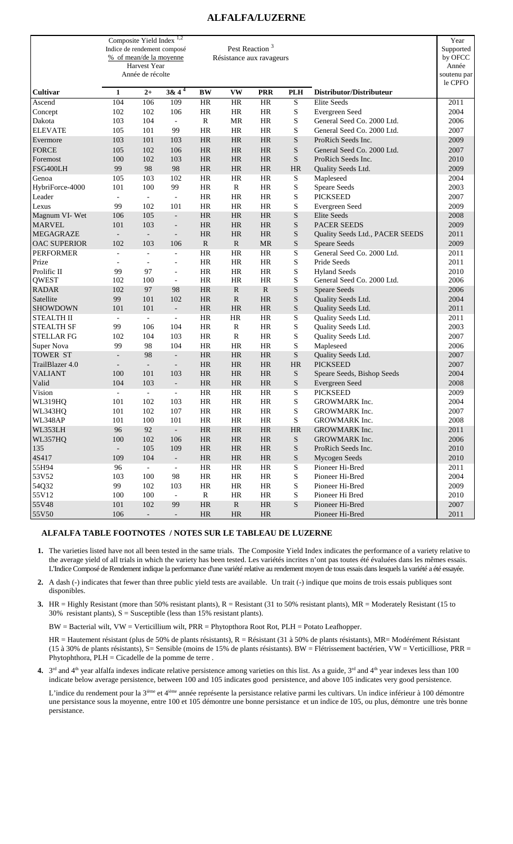# **ALFALFA/LUZERNE**

|                     | Composite Yield Index <sup>1,2</sup><br>Indice de rendement composé | % of mean/de la moyenne<br>Harvest Year<br>Année de récolte |                          |             | Pest Reaction <sup>3</sup><br>Résistance aux ravageurs |            |                 |                                  | Year<br>Supported<br>by OFCC<br>Année<br>soutenu par<br>le CPFO |
|---------------------|---------------------------------------------------------------------|-------------------------------------------------------------|--------------------------|-------------|--------------------------------------------------------|------------|-----------------|----------------------------------|-----------------------------------------------------------------|
| <b>Cultivar</b>     | $\mathbf{1}$                                                        | $2+$                                                        | $38 \sqrt{4^4}$          | <b>BW</b>   | <b>VW</b>                                              | <b>PRR</b> | <b>PLH</b>      | Distributor/Distributeur         |                                                                 |
| Ascend              | 104                                                                 | 106                                                         | 109                      | <b>HR</b>   | HR                                                     | $\rm{HR}$  | $\mathbf S$     | Elite Seeds                      | 2011                                                            |
| Concept             | 102                                                                 | 102                                                         | 106                      | <b>HR</b>   | <b>HR</b>                                              | <b>HR</b>  | S               | Evergreen Seed                   | 2004                                                            |
| Dakota              | 103                                                                 | 104                                                         | $\frac{1}{2}$            | R           | MR                                                     | HR         | S               | General Seed Co. 2000 Ltd.       | 2006                                                            |
| <b>ELEVATE</b>      | 105                                                                 | 101                                                         | 99                       | HR          | <b>HR</b>                                              | HR         | S               | General Seed Co. 2000 Ltd.       | 2007                                                            |
| Evermore            | 103                                                                 | 101                                                         | 103                      | <b>HR</b>   | <b>HR</b>                                              | <b>HR</b>  | ${\bf S}$       | ProRich Seeds Inc.               | 2009                                                            |
| <b>FORCE</b>        | 105                                                                 | 102                                                         | 106                      | <b>HR</b>   | HR                                                     | <b>HR</b>  | S               | General Seed Co. 2000 Ltd.       | 2007                                                            |
| Foremost            | 100                                                                 | 102                                                         | 103                      | HR          | <b>HR</b>                                              | <b>HR</b>  | S               | ProRich Seeds Inc.               | 2010                                                            |
| FSG400LH            | 99                                                                  | 98                                                          | 98                       | <b>HR</b>   | <b>HR</b>                                              | <b>HR</b>  | <b>HR</b>       | Quality Seeds Ltd.               | 2009                                                            |
| Genoa               | 105                                                                 | 103                                                         | 102                      | <b>HR</b>   | <b>HR</b>                                              | <b>HR</b>  | S               | Mapleseed                        | 2004                                                            |
| HybriForce-4000     | 101                                                                 | 100                                                         | 99                       | <b>HR</b>   | R                                                      | HR         | S               | <b>Speare Seeds</b>              | 2003                                                            |
| Leader              | $\overline{a}$                                                      | $\blacksquare$                                              | $\overline{\phantom{a}}$ | HR          | HR                                                     | HR         | S               | <b>PICKSEED</b>                  | 2007                                                            |
| Lexus               | 99                                                                  | 102                                                         | 101                      | <b>HR</b>   | HR                                                     | <b>HR</b>  | S               | Evergreen Seed                   | 2009                                                            |
| Magnum VI-Wet       | 106                                                                 | 105                                                         | $\overline{\phantom{a}}$ | HR          | HR                                                     | <b>HR</b>  | ${\bf S}$       | Elite Seeds                      | 2008                                                            |
| <b>MARVEL</b>       | 101                                                                 | 103                                                         | $\overline{\phantom{a}}$ | <b>HR</b>   | <b>HR</b>                                              | <b>HR</b>  | S               | <b>PACER SEEDS</b>               | 2009                                                            |
| <b>MEGAGRAZE</b>    | $\overline{\phantom{a}}$                                            | $\overline{\phantom{a}}$                                    | $\overline{\phantom{a}}$ | <b>HR</b>   | <b>HR</b>                                              | <b>HR</b>  | S               | Quality Seeds Ltd., PACER SEEDS  | 2011                                                            |
| <b>OAC SUPERIOR</b> | 102                                                                 | 103                                                         | 106                      | $\mathbf R$ | ${\bf R}$                                              | MR         | ${\bf S}$       | <b>Speare Seeds</b>              | 2009                                                            |
| <b>PERFORMER</b>    |                                                                     |                                                             | $\overline{\phantom{0}}$ | <b>HR</b>   | <b>HR</b>                                              | <b>HR</b>  | S               | General Seed Co. 2000 Ltd.       | 2011                                                            |
| Prize               | $\overline{\phantom{a}}$                                            | $\overline{\phantom{a}}$                                    | $\overline{\phantom{a}}$ | <b>HR</b>   | <b>HR</b>                                              | <b>HR</b>  | S               | Pride Seeds                      | 2011                                                            |
| Prolific II         | 99                                                                  | 97                                                          | $\overline{\phantom{a}}$ | <b>HR</b>   | <b>HR</b>                                              | <b>HR</b>  | S               | <b>Hyland Seeds</b>              | 2010                                                            |
| <b>QWEST</b>        | 102                                                                 | 100                                                         | $\overline{\phantom{a}}$ | <b>HR</b>   | <b>HR</b>                                              | <b>HR</b>  | S               | General Seed Co. 2000 Ltd.       | 2006                                                            |
| <b>RADAR</b>        | 102                                                                 | 97                                                          | 98                       | HR          | ${\bf R}$                                              | ${\bf R}$  | $\mathbf S$     | <b>Speare Seeds</b>              | 2006                                                            |
| Satellite           | 99                                                                  | 101                                                         | 102                      | <b>HR</b>   | ${\bf R}$                                              | <b>HR</b>  | S               | Quality Seeds Ltd.               | 2004                                                            |
| <b>SHOWDOWN</b>     | 101                                                                 | 101                                                         | $\Box$                   | <b>HR</b>   | <b>HR</b>                                              | <b>HR</b>  | $\mathbf S$     | Quality Seeds Ltd.               | 2011                                                            |
| <b>STEALTH II</b>   | $\blacksquare$                                                      | $\overline{\phantom{a}}$                                    | $\overline{\phantom{a}}$ | <b>HR</b>   | <b>HR</b>                                              | HR         | S               | Quality Seeds Ltd.               | 2011                                                            |
| <b>STEALTH SF</b>   | 99                                                                  | 106                                                         | 104                      | HR          | $\mathbb{R}$                                           | HR         | S               | Quality Seeds Ltd.               | 2003                                                            |
| <b>STELLAR FG</b>   | 102                                                                 | 104                                                         | 103                      | <b>HR</b>   | $\mathbb{R}$                                           | <b>HR</b>  | S               | Quality Seeds Ltd.               | 2007                                                            |
| Super Nova          | 99                                                                  | 98                                                          | 104                      | HR          | <b>HR</b>                                              | <b>HR</b>  | S               | Mapleseed                        | 2006                                                            |
| <b>TOWER ST</b>     | $\overline{\phantom{a}}$                                            | 98                                                          | $\overline{\phantom{a}}$ | <b>HR</b>   | <b>HR</b>                                              | <b>HR</b>  | ${\bf S}$       | Quality Seeds Ltd.               | 2007                                                            |
| TrailBlazer 4.0     |                                                                     | $\overline{\phantom{a}}$                                    | $\overline{\phantom{a}}$ | <b>HR</b>   | <b>HR</b>                                              | HR         | <b>HR</b>       | <b>PICKSEED</b>                  | 2007                                                            |
| <b>VALIANT</b>      | 100                                                                 | 101                                                         | 103                      | <b>HR</b>   | <b>HR</b>                                              | <b>HR</b>  | ${\bf S}$       | Speare Seeds, Bishop Seeds       | 2004                                                            |
| Valid               | 104                                                                 | 103                                                         | $\blacksquare$           | <b>HR</b>   | <b>HR</b>                                              | <b>HR</b>  | ${\bf S}$       | Evergreen Seed                   | 2008                                                            |
| Vision              | $\overline{\phantom{0}}$                                            | $\overline{\phantom{a}}$                                    | $\overline{\phantom{a}}$ | <b>HR</b>   | HR                                                     | <b>HR</b>  | S               | <b>PICKSEED</b>                  | 2009                                                            |
| <b>WL319HQ</b>      | 101                                                                 | 102                                                         | 103                      | HR          | HR                                                     | HR         | S               | GROWMARK Inc.                    | 2004                                                            |
| WL343HQ             | 101                                                                 | 102                                                         | 107                      | HR          | HR                                                     | HR         | $\mathbf S$     | GROWMARK Inc.                    | 2007                                                            |
| WL348AP             | 101                                                                 | 100                                                         | 101                      | $\rm{HR}$   | $\rm{HR}$                                              | $\rm{HR}$  | ${\bf S}$       | GROWMARK Inc.                    | 2008                                                            |
|                     |                                                                     |                                                             |                          |             |                                                        |            |                 |                                  |                                                                 |
| WL353LH<br>WL357HQ  | 96                                                                  | 92<br>102                                                   | $\overline{\phantom{a}}$ | $\rm{HR}$   | $\rm{HR}$                                              | $\rm{HR}$  | HR<br>${\bf S}$ | GROWMARK Inc.                    | 2011                                                            |
| 135                 | 100                                                                 |                                                             | 106                      | $\rm{HR}$   | HR                                                     | $\rm{HR}$  |                 | GROWMARK Inc.                    | 2006                                                            |
|                     | $\overline{\phantom{a}}$                                            | 105                                                         | 109                      | $\rm{HR}$   | HR                                                     | $\rm{HR}$  | ${\bf S}$       | ProRich Seeds Inc.               | 2010                                                            |
| 4S417               | 109                                                                 | 104                                                         | $\blacksquare$           | $\rm{HR}$   | HR                                                     | $\rm{HR}$  | ${\bf S}$       | Mycogen Seeds<br>Pioneer Hi-Bred | 2010                                                            |
| 55H94               | 96                                                                  | $\overline{\phantom{a}}$                                    | $\overline{\phantom{a}}$ | HR          | HR                                                     | HR         | ${\bf S}$       |                                  | 2011                                                            |
| 53V52               | 103                                                                 | 100                                                         | 98                       | $\rm{HR}$   | HR                                                     | HR         | $\mathbf S$     | Pioneer Hi-Bred                  | 2004                                                            |
| 54Q32               | 99                                                                  | 102                                                         | 103                      | HR          | HR                                                     | HR         | $\mathbf S$     | Pioneer Hi-Bred                  | 2009                                                            |
| 55V12               | 100                                                                 | 100                                                         | $\overline{\phantom{a}}$ | ${\bf R}$   | HR                                                     | HR         | S               | Pioneer Hi Bred                  | 2010                                                            |
| 55V48               | 101                                                                 | 102                                                         | 99                       | HR          | ${\bf R}$                                              | $\rm{HR}$  | ${\bf S}$       | Pioneer Hi-Bred                  | 2007                                                            |
| 55V50               | 106                                                                 | $\overline{\phantom{a}}$                                    | $\overline{\phantom{a}}$ | $\rm{HR}$   | HR                                                     | HR         |                 | Pioneer Hi-Bred                  | 2011                                                            |

## **ALFALFA TABLE FOOTNOTES / NOTES SUR LE TABLEAU DE LUZERNE**

- **1.** The varieties listed have not all been tested in the same trials. The Composite Yield Index indicates the performance of a variety relative to the average yield of all trials in which the variety has been tested. Les variétés incrites n'ont pas toutes été évaluées dans les mêmes essais. L'Indice Composé de Rendement indique la performance d'une variété relative au rendement moyen de tous essais dans lesquels la variété a été essayée.
- **2.** A dash (-) indicates that fewer than three public yield tests are available. Un trait (-) indique que moins de trois essais publiques sont disponibles.
- **3.** HR = Highly Resistant (more than 50% resistant plants),  $R =$  Resistant (31 to 50% resistant plants),  $MR =$  Moderately Resistant (15 to 30% resistant plants),  $S =$  Susceptible (less than 15% resistant plants).

BW = Bacterial wilt, VW = Verticillium wilt, PRR = Phytopthora Root Rot, PLH = Potato Leafhopper.

HR = Hautement résistant (plus de 50% de plants résistants), R = Résistant (31 à 50% de plants résistants), MR= Modérément Résistant (15 à 30% de plants résistants), S= Sensible (moins de 15% de plants résistants). BW = Flétrissement bactérien, VW = Verticilliose, PRR = Phytophthora, PLH = Cicadelle de la pomme de terre .

**4.**  $3<sup>rd</sup>$  and 4<sup>th</sup> year alfalfa indexes indicate relative persistence among varieties on this list. As a guide,  $3<sup>rd</sup>$  and 4<sup>th</sup> year indexes less than 100 indicate below average persistence, between 100 and 105 indicates good persistence, and above 105 indicates very good persistence.

L'indice du rendement pour la 3<sup>ième</sup> et 4<sup>ième</sup> année représente la persistance relative parmi les cultivars. Un indice inférieur à 100 démontre une persistance sous la moyenne, entre 100 et 105 démontre une bonne persistance et un indice de 105, ou plus, démontre une très bonne persistance.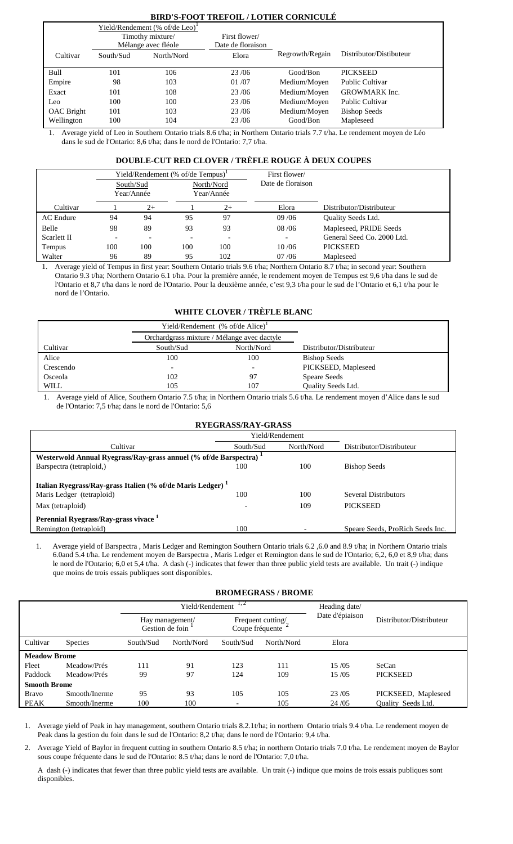# **BIRD'S-FOOT TREFOIL / LOTIER CORNICULÉ**

|            |                  | Yield/Rendement (% of/de Leo) <sup>1</sup> |                   |                 |                         |
|------------|------------------|--------------------------------------------|-------------------|-----------------|-------------------------|
|            | Timothy mixture/ |                                            | First flower/     |                 |                         |
|            |                  | Mélange avec fléole                        | Date de floraison |                 |                         |
| Cultivar   | South/Sud        | North/Nord                                 | Elora             | Regrowth/Regain | Distributor/Distibuteur |
|            |                  |                                            |                   |                 |                         |
| Bull       | 101              | 106                                        | 23/06             | Good/Bon        | <b>PICKSEED</b>         |
| Empire     | 98               | 103                                        | 01/07             | Medium/Moyen    | <b>Public Cultivar</b>  |
| Exact      | 101              | 108                                        | 23/06             | Medium/Moyen    | <b>GROWMARK</b> Inc.    |
| Leo        | 100              | 100                                        | 23/06             | Medium/Moyen    | <b>Public Cultivar</b>  |
| OAC Bright | 101              | 103                                        | 23/06             | Medium/Moyen    | <b>Bishop Seeds</b>     |
| Wellington | 100              | 104                                        | 23/06             | Good/Bon        | Mapleseed               |

1. Average yield of Leo in Southern Ontario trials 8.6 t/ha; in Northern Ontario trials 7.7 t/ha. Le rendement moyen de Léo dans le sud de l'Ontario: 8,6 t/ha; dans le nord de l'Ontario: 7,7 t/ha.

# **DOUBLE-CUT RED CLOVER / TRÈFLE ROUGE À DEUX COUPES**

|             |                          |                          | Yield/Rendement (% of/de Tempus) <sup>1</sup> |      | First flower/     |                            |
|-------------|--------------------------|--------------------------|-----------------------------------------------|------|-------------------|----------------------------|
|             |                          | South/Sud<br>Year/Année  | North/Nord<br>Year/Année                      |      | Date de floraison |                            |
| Cultivar    |                          | $2+$                     |                                               | $2+$ | Elora             | Distributor/Distributeur   |
| AC Endure   | 94                       | 94                       | 95                                            | 97   | 09/06             | <b>Ouality Seeds Ltd.</b>  |
| Belle       | 98                       | 89                       | 93                                            | 93   | 08/06             | Mapleseed, PRIDE Seeds     |
| Scarlett II | $\overline{\phantom{0}}$ | $\overline{\phantom{0}}$ |                                               |      |                   | General Seed Co. 2000 Ltd. |
| Tempus      | 100                      | 100                      | 100                                           | 100  | 10/06             | <b>PICKSEED</b>            |
| Walter      | 96                       | 89                       | 95                                            | 102  | 07/06             | Mapleseed                  |

1. Average yield of Tempus in first year: Southern Ontario trials 9.6 t/ha; Northern Ontario 8.7 t/ha; in second year: Southern Ontario 9.3 t/ha; Northern Ontario 6.1 t/ha. Pour la première année, le rendement moyen de Tempus est 9,6 t/ha dans le sud de l'Ontario et 8,7 t/ha dans le nord de l'Ontario. Pour la deuxième année, c'est 9,3 t/ha pour le sud de l'Ontario et 6,1 t/ha pour le nord de l'Ontario.

# **WHITE CLOVER / TRÈFLE BLANC**

|             |                          | Yield/Rendement (% of/de Alice) <sup>1</sup> |                          |
|-------------|--------------------------|----------------------------------------------|--------------------------|
|             |                          | Orchardgrass mixture / Mélange avec dactyle  |                          |
| Cultivar    | South/Sud                | North/Nord                                   | Distributor/Distributeur |
| Alice       | 100                      | 100                                          | <b>Bishop Seeds</b>      |
| Crescendo   | $\overline{\phantom{0}}$ |                                              | PICKSEED, Mapleseed      |
| Osceola     | 102                      |                                              | <b>Speare Seeds</b>      |
| <b>WILL</b> | 105                      | 107                                          | Quality Seeds Ltd.       |

1. Average yield of Alice, Southern Ontario 7.5 t/ha; in Northern Ontario trials 5.6 t/ha. Le rendement moyen d'Alice dans le sud de l'Ontario: 7,5 t/ha; dans le nord de l'Ontario: 5,6

| <b>RYEGRASS/RAY-GRASS</b>                                                                                               |                 |            |                                                |  |  |  |  |
|-------------------------------------------------------------------------------------------------------------------------|-----------------|------------|------------------------------------------------|--|--|--|--|
|                                                                                                                         | Yield/Rendement |            |                                                |  |  |  |  |
| Cultivar                                                                                                                | South/Sud       | North/Nord | Distributor/Distributeur                       |  |  |  |  |
| Westerwold Annual Ryegrass/Ray-grass annuel (% of/de Barspectra) <sup>1</sup>                                           |                 |            |                                                |  |  |  |  |
| Barspectra (tetraploid,)                                                                                                | 100             | 100        | <b>Bishop Seeds</b>                            |  |  |  |  |
| Italian Ryegrass/Ray-grass Italien (% of/de Maris Ledger) <sup>1</sup><br>Maris Ledger (tetraploid)<br>Max (tetraploid) | 100             | 100<br>109 | <b>Several Distributors</b><br><b>PICKSEED</b> |  |  |  |  |
| Perennial Ryegrass/Ray-grass vivace <sup>1</sup><br>Remington (tetraploid)                                              | 100             |            | Speare Seeds, ProRich Seeds Inc.               |  |  |  |  |

1. Average yield of Barspectra , Maris Ledger and Remington Southern Ontario trials 6.2 ,6.0 and 8.9 t/ha; in Northern Ontario trials 6.0and 5.4 t/ha. Le rendement moyen de Barspectra , Maris Ledger et Remington dans le sud de l'Ontario; 6,2, 6,0 et 8,9 t/ha; dans le nord de l'Ontario; 6,0 et 5,4 t/ha. A dash (-) indicates that fewer than three public yield tests are available. Un trait (-) indique que moins de trois essais publiques sont disponibles.

#### **BROMEGRASS / BROME**

|                     |                |           | Yield/Rendement                                                            | 1, 2      | Heading date/   |                          |                           |
|---------------------|----------------|-----------|----------------------------------------------------------------------------|-----------|-----------------|--------------------------|---------------------------|
|                     |                |           | Frequent cutting/<br>Hay management/<br>Coupe fréquente<br>Gestion de foin |           | Date d'épiaison | Distributor/Distributeur |                           |
| Cultivar            | <b>Species</b> | South/Sud | North/Nord                                                                 | South/Sud | North/Nord      | Elora                    |                           |
| <b>Meadow Brome</b> |                |           |                                                                            |           |                 |                          |                           |
| Fleet               | Meadow/Prés    | 111       | 91                                                                         | 123       | 111             | 15/05                    | SeCan                     |
| Paddock             | Meadow/Prés    | 99        | 97                                                                         | 124       | 109             | 15/05                    | <b>PICKSEED</b>           |
| <b>Smooth Brome</b> |                |           |                                                                            |           |                 |                          |                           |
| <b>Bravo</b>        | Smooth/Inerme  | 95        | 93                                                                         | 105       | 105             | 23/05                    | PICKSEED, Mapleseed       |
| PEAK                | Smooth/Inerme  | 100       | 100                                                                        |           | 105             | 24/05                    | <b>Ouality Seeds Ltd.</b> |

1. Average yield of Peak in hay management, southern Ontario trials 8.2.1t/ha; in northern Ontario trials 9.4 t/ha. Le rendement moyen de Peak dans la gestion du foin dans le sud de l'Ontario: 8,2 t/ha; dans le nord de l'Ontario: 9,4 t/ha.

2. Average Yield of Baylor in frequent cutting in southern Ontario 8.5 t/ha; in northern Ontario trials 7.0 t/ha. Le rendement moyen de Baylor sous coupe fréquente dans le sud de l'Ontario: 8.5 t/ha; dans le nord de l'Ontario: 7,0 t/ha.

A dash (-) indicates that fewer than three public yield tests are available. Un trait (-) indique que moins de trois essais publiques sont disponibles.